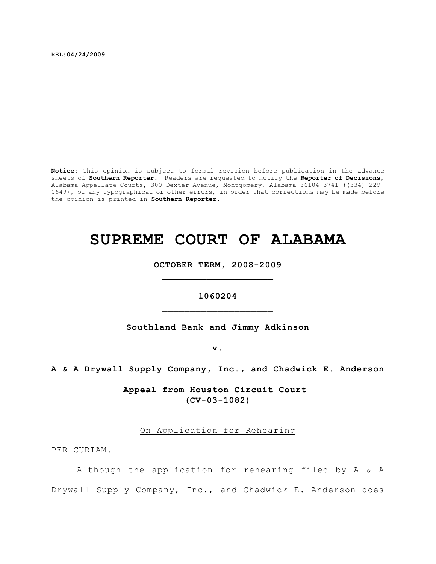**REL:04/24/2009**

**Notice:** This opinion is subject to formal revision before publication in the advance sheets of **Southern Reporter**. Readers are requested to notify the **Reporter of Decisions**, Alabama Appellate Courts, 300 Dexter Avenue, Montgomery, Alabama 36104-3741 ((334) 229- 0649), of any typographical or other errors, in order that corrections may be made before the opinion is printed in **Southern Reporter**.

## **SUPREME COURT OF ALABAMA**

**OCTOBER TERM, 2008-2009 \_\_\_\_\_\_\_\_\_\_\_\_\_\_\_\_\_\_\_\_**

**1060204 \_\_\_\_\_\_\_\_\_\_\_\_\_\_\_\_\_\_\_\_**

**Southland Bank and Jimmy Adkinson**

**v.**

**A & A Drywall Supply Company, Inc., and Chadwick E. Anderson**

**Appeal from Houston Circuit Court (CV-03-1082)**

On Application for Rehearing

PER CURIAM.

Although the application for rehearing filed by A & A Drywall Supply Company, Inc., and Chadwick E. Anderson does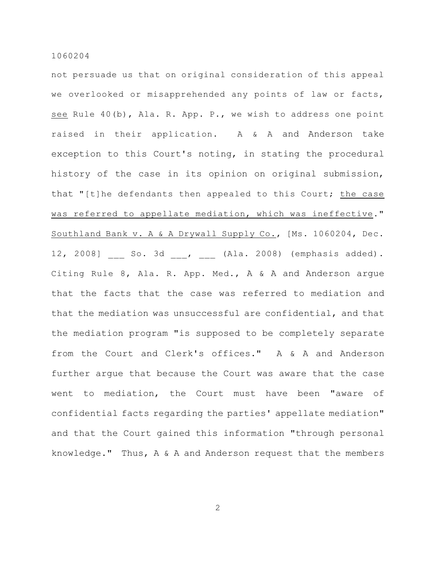not persuade us that on original consideration of this appeal we overlooked or misapprehended any points of law or facts, see Rule 40(b), Ala. R. App. P., we wish to address one point raised in their application. A & A and Anderson take exception to this Court's noting, in stating the procedural history of the case in its opinion on original submission, that "[t]he defendants then appealed to this Court; the case was referred to appellate mediation, which was ineffective." Southland Bank v. A & A Drywall Supply Co., [Ms. 1060204, Dec. 12, 2008] \_\_\_ So. 3d \_\_\_, \_\_\_ (Ala. 2008) (emphasis added). Citing Rule 8, Ala. R. App. Med., A & A and Anderson argue that the facts that the case was referred to mediation and that the mediation was unsuccessful are confidential, and that the mediation program "is supposed to be completely separate from the Court and Clerk's offices." A & A and Anderson further argue that because the Court was aware that the case went to mediation, the Court must have been "aware of confidential facts regarding the parties' appellate mediation" and that the Court gained this information "through personal knowledge." Thus, A & A and Anderson request that the members

2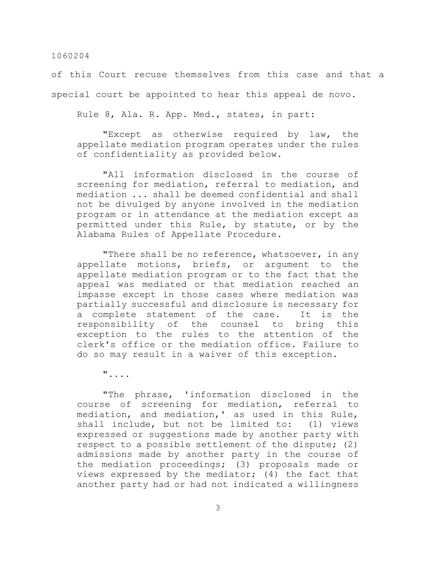of this Court recuse themselves from this case and that a special court be appointed to hear this appeal de novo.

Rule 8, Ala. R. App. Med., states, in part:

"Except as otherwise required by law, the appellate mediation program operates under the rules of confidentiality as provided below.

"All information disclosed in the course of screening for mediation, referral to mediation, and mediation ... shall be deemed confidential and shall not be divulged by anyone involved in the mediation program or in attendance at the mediation except as permitted under this Rule, by statute, or by the Alabama Rules of Appellate Procedure.

"There shall be no reference, whatsoever, in any appellate motions, briefs, or argument to the appellate mediation program or to the fact that the appeal was mediated or that mediation reached an impasse except in those cases where mediation was partially successful and disclosure is necessary for a complete statement of the case. It is the responsibility of the counsel to bring this exception to the rules to the attention of the clerk's office or the mediation office. Failure to do so may result in a waiver of this exception.

"....

"The phrase, 'information disclosed in the course of screening for mediation, referral to mediation, and mediation,' as used in this Rule, shall include, but not be limited to: (1) views expressed or suggestions made by another party with respect to a possible settlement of the dispute; (2) admissions made by another party in the course of the mediation proceedings; (3) proposals made or views expressed by the mediator; (4) the fact that another party had or had not indicated a willingness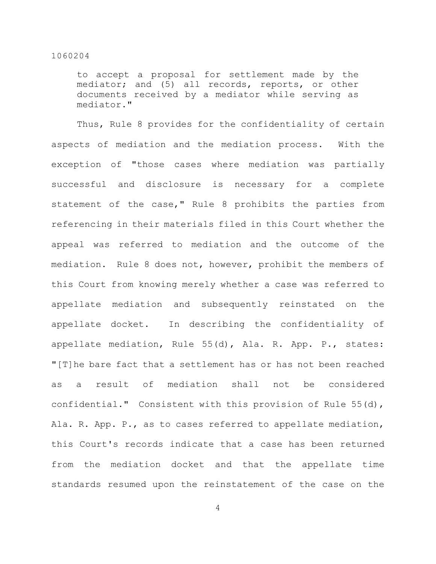to accept a proposal for settlement made by the mediator; and (5) all records, reports, or other documents received by a mediator while serving as mediator."

Thus, Rule 8 provides for the confidentiality of certain aspects of mediation and the mediation process. With the exception of "those cases where mediation was partially successful and disclosure is necessary for a complete statement of the case," Rule 8 prohibits the parties from referencing in their materials filed in this Court whether the appeal was referred to mediation and the outcome of the mediation. Rule 8 does not, however, prohibit the members of this Court from knowing merely whether a case was referred to appellate mediation and subsequently reinstated on the appellate docket. In describing the confidentiality of appellate mediation, Rule 55(d), Ala. R. App. P., states: "[T]he bare fact that a settlement has or has not been reached as a result of mediation shall not be considered confidential." Consistent with this provision of Rule 55(d), Ala. R. App. P., as to cases referred to appellate mediation, this Court's records indicate that a case has been returned from the mediation docket and that the appellate time standards resumed upon the reinstatement of the case on the

4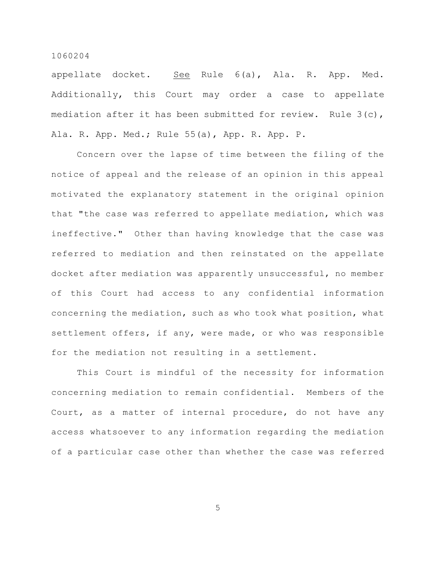appellate docket. See Rule 6(a), Ala. R. App. Med. Additionally, this Court may order a case to appellate mediation after it has been submitted for review. Rule 3(c), Ala. R. App. Med.; Rule 55(a), App. R. App. P.

Concern over the lapse of time between the filing of the notice of appeal and the release of an opinion in this appeal motivated the explanatory statement in the original opinion that "the case was referred to appellate mediation, which was ineffective." Other than having knowledge that the case was referred to mediation and then reinstated on the appellate docket after mediation was apparently unsuccessful, no member of this Court had access to any confidential information concerning the mediation, such as who took what position, what settlement offers, if any, were made, or who was responsible for the mediation not resulting in a settlement.

This Court is mindful of the necessity for information concerning mediation to remain confidential. Members of the Court, as a matter of internal procedure, do not have any access whatsoever to any information regarding the mediation of a particular case other than whether the case was referred

5